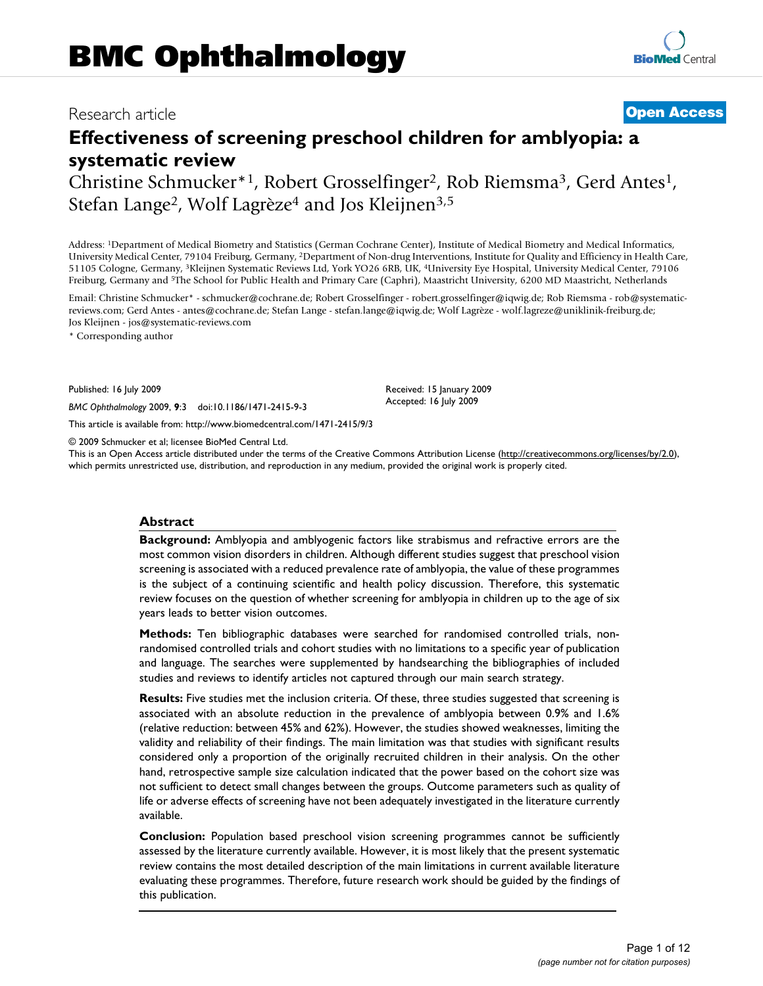# Research article **[Open Access](http://www.biomedcentral.com/info/about/charter/)**

# **Effectiveness of screening preschool children for amblyopia: a systematic review**

Christine Schmucker\*1, Robert Grosselfinger2, Rob Riemsma3, Gerd Antes1, Stefan Lange<sup>2</sup>, Wolf Lagrèze<sup>4</sup> and Jos Kleijnen<sup>3,5</sup>

Address: 1Department of Medical Biometry and Statistics (German Cochrane Center), Institute of Medical Biometry and Medical Informatics, University Medical Center, 79104 Freiburg, Germany, 2Department of Non-drug Interventions, Institute for Quality and Efficiency in Health Care, 51105 Cologne, Germany, 3Kleijnen Systematic Reviews Ltd, York YO26 6RB, UK, 4University Eye Hospital, University Medical Center, 79106 Freiburg, Germany and 5The School for Public Health and Primary Care (Caphri), Maastricht University, 6200 MD Maastricht, Netherlands

Email: Christine Schmucker\* - schmucker@cochrane.de; Robert Grosselfinger - robert.grosselfinger@iqwig.de; Rob Riemsma - rob@systematicreviews.com; Gerd Antes - antes@cochrane.de; Stefan Lange - stefan.lange@iqwig.de; Wolf Lagrèze - wolf.lagreze@uniklinik-freiburg.de; Jos Kleijnen - jos@systematic-reviews.com

> Received: 15 January 2009 Accepted: 16 July 2009

\* Corresponding author

Published: 16 July 2009

*BMC Ophthalmology* 2009, **9**:3 doi:10.1186/1471-2415-9-3

[This article is available from: http://www.biomedcentral.com/1471-2415/9/3](http://www.biomedcentral.com/1471-2415/9/3)

© 2009 Schmucker et al; licensee BioMed Central Ltd.

This is an Open Access article distributed under the terms of the Creative Commons Attribution License [\(http://creativecommons.org/licenses/by/2.0\)](http://creativecommons.org/licenses/by/2.0), which permits unrestricted use, distribution, and reproduction in any medium, provided the original work is properly cited.

# **Abstract**

**Background:** Amblyopia and amblyogenic factors like strabismus and refractive errors are the most common vision disorders in children. Although different studies suggest that preschool vision screening is associated with a reduced prevalence rate of amblyopia, the value of these programmes is the subject of a continuing scientific and health policy discussion. Therefore, this systematic review focuses on the question of whether screening for amblyopia in children up to the age of six years leads to better vision outcomes.

**Methods:** Ten bibliographic databases were searched for randomised controlled trials, nonrandomised controlled trials and cohort studies with no limitations to a specific year of publication and language. The searches were supplemented by handsearching the bibliographies of included studies and reviews to identify articles not captured through our main search strategy.

**Results:** Five studies met the inclusion criteria. Of these, three studies suggested that screening is associated with an absolute reduction in the prevalence of amblyopia between 0.9% and 1.6% (relative reduction: between 45% and 62%). However, the studies showed weaknesses, limiting the validity and reliability of their findings. The main limitation was that studies with significant results considered only a proportion of the originally recruited children in their analysis. On the other hand, retrospective sample size calculation indicated that the power based on the cohort size was not sufficient to detect small changes between the groups. Outcome parameters such as quality of life or adverse effects of screening have not been adequately investigated in the literature currently available.

**Conclusion:** Population based preschool vision screening programmes cannot be sufficiently assessed by the literature currently available. However, it is most likely that the present systematic review contains the most detailed description of the main limitations in current available literature evaluating these programmes. Therefore, future research work should be guided by the findings of this publication.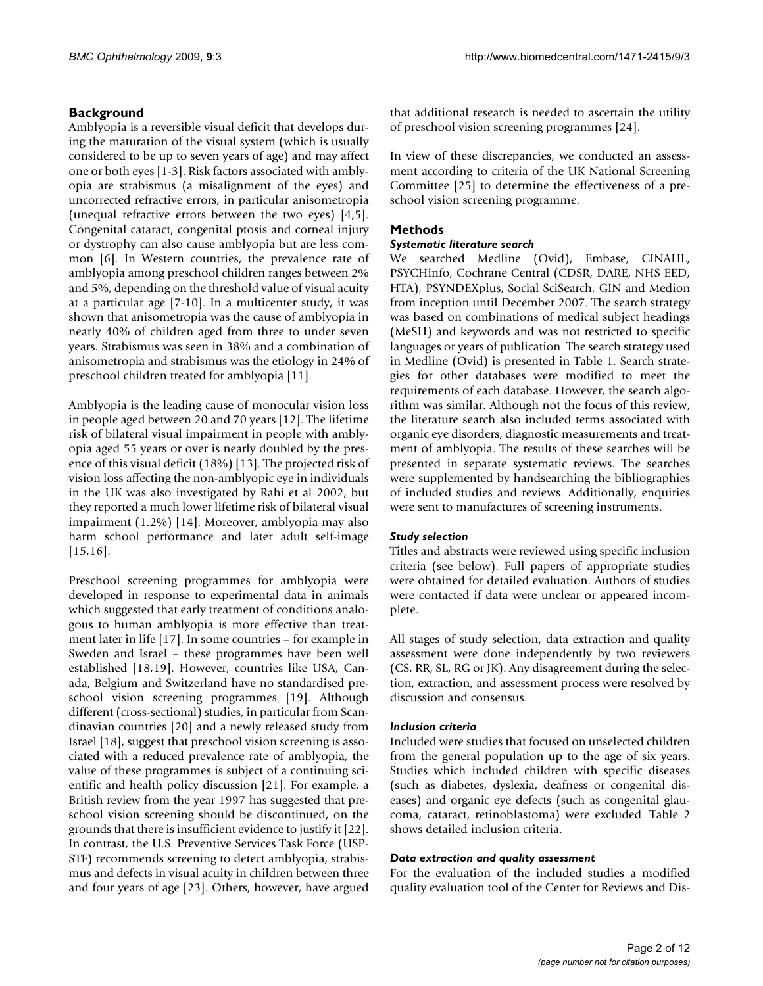# **Background**

Amblyopia is a reversible visual deficit that develops during the maturation of the visual system (which is usually considered to be up to seven years of age) and may affect one or both eyes [\[1-](#page-10-0)[3](#page-11-0)]. Risk factors associated with amblyopia are strabismus (a misalignment of the eyes) and uncorrected refractive errors, in particular anisometropia (unequal refractive errors between the two eyes) [[4](#page-11-1),[5](#page-11-2)]. Congenital cataract, congenital ptosis and corneal injury or dystrophy can also cause amblyopia but are less common [\[6\]](#page-11-3). In Western countries, the prevalence rate of amblyopia among preschool children ranges between 2% and 5%, depending on the threshold value of visual acuity at a particular age [[7](#page-11-4)[-10](#page-11-5)]. In a multicenter study, it was shown that anisometropia was the cause of amblyopia in nearly 40% of children aged from three to under seven years. Strabismus was seen in 38% and a combination of anisometropia and strabismus was the etiology in 24% of preschool children treated for amblyopia [[11](#page-11-6)].

Amblyopia is the leading cause of monocular vision loss in people aged between 20 and 70 years [[12\]](#page-11-7). The lifetime risk of bilateral visual impairment in people with amblyopia aged 55 years or over is nearly doubled by the presence of this visual deficit (18%) [\[13](#page-11-8)]. The projected risk of vision loss affecting the non-amblyopic eye in individuals in the UK was also investigated by Rahi et al 2002, but they reported a much lower lifetime risk of bilateral visual impairment (1.2%) [\[14](#page-11-9)]. Moreover, amblyopia may also harm school performance and later adult self-image [[15](#page-11-10),[16\]](#page-11-11).

Preschool screening programmes for amblyopia were developed in response to experimental data in animals which suggested that early treatment of conditions analogous to human amblyopia is more effective than treatment later in life [[17\]](#page-11-12). In some countries – for example in Sweden and Israel – these programmes have been well established [[18,](#page-11-13)[19\]](#page-11-14). However, countries like USA, Canada, Belgium and Switzerland have no standardised preschool vision screening programmes [[19\]](#page-11-14). Although different (cross-sectional) studies, in particular from Scandinavian countries [\[20](#page-11-15)] and a newly released study from Israel [\[18](#page-11-13)], suggest that preschool vision screening is associated with a reduced prevalence rate of amblyopia, the value of these programmes is subject of a continuing scientific and health policy discussion [\[21](#page-11-16)]. For example, a British review from the year 1997 has suggested that preschool vision screening should be discontinued, on the grounds that there is insufficient evidence to justify it [\[22](#page-11-17)]. In contrast, the U.S. Preventive Services Task Force (USP-STF) recommends screening to detect amblyopia, strabismus and defects in visual acuity in children between three and four years of age [\[23](#page-11-18)]. Others, however, have argued that additional research is needed to ascertain the utility of preschool vision screening programmes [\[24\]](#page-11-19).

In view of these discrepancies, we conducted an assessment according to criteria of the UK National Screening Committee [[25](#page-11-20)] to determine the effectiveness of a preschool vision screening programme.

# **Methods**

# *Systematic literature search*

We searched Medline (Ovid), Embase, CINAHL, PSYCHinfo, Cochrane Central (CDSR, DARE, NHS EED, HTA), PSYNDEXplus, Social SciSearch, GIN and Medion from inception until December 2007. The search strategy was based on combinations of medical subject headings (MeSH) and keywords and was not restricted to specific languages or years of publication. The search strategy used in Medline (Ovid) is presented in Table [1](#page-2-0). Search strategies for other databases were modified to meet the requirements of each database. However, the search algorithm was similar. Although not the focus of this review, the literature search also included terms associated with organic eye disorders, diagnostic measurements and treatment of amblyopia. The results of these searches will be presented in separate systematic reviews. The searches were supplemented by handsearching the bibliographies of included studies and reviews. Additionally, enquiries were sent to manufactures of screening instruments.

# *Study selection*

Titles and abstracts were reviewed using specific inclusion criteria (see below). Full papers of appropriate studies were obtained for detailed evaluation. Authors of studies were contacted if data were unclear or appeared incomplete.

All stages of study selection, data extraction and quality assessment were done independently by two reviewers (CS, RR, SL, RG or JK). Any disagreement during the selection, extraction, and assessment process were resolved by discussion and consensus.

# *Inclusion criteria*

Included were studies that focused on unselected children from the general population up to the age of six years. Studies which included children with specific diseases (such as diabetes, dyslexia, deafness or congenital diseases) and organic eye defects (such as congenital glaucoma, cataract, retinoblastoma) were excluded. Table [2](#page-5-0) shows detailed inclusion criteria.

# *Data extraction and quality assessment*

For the evaluation of the included studies a modified quality evaluation tool of the Center for Reviews and Dis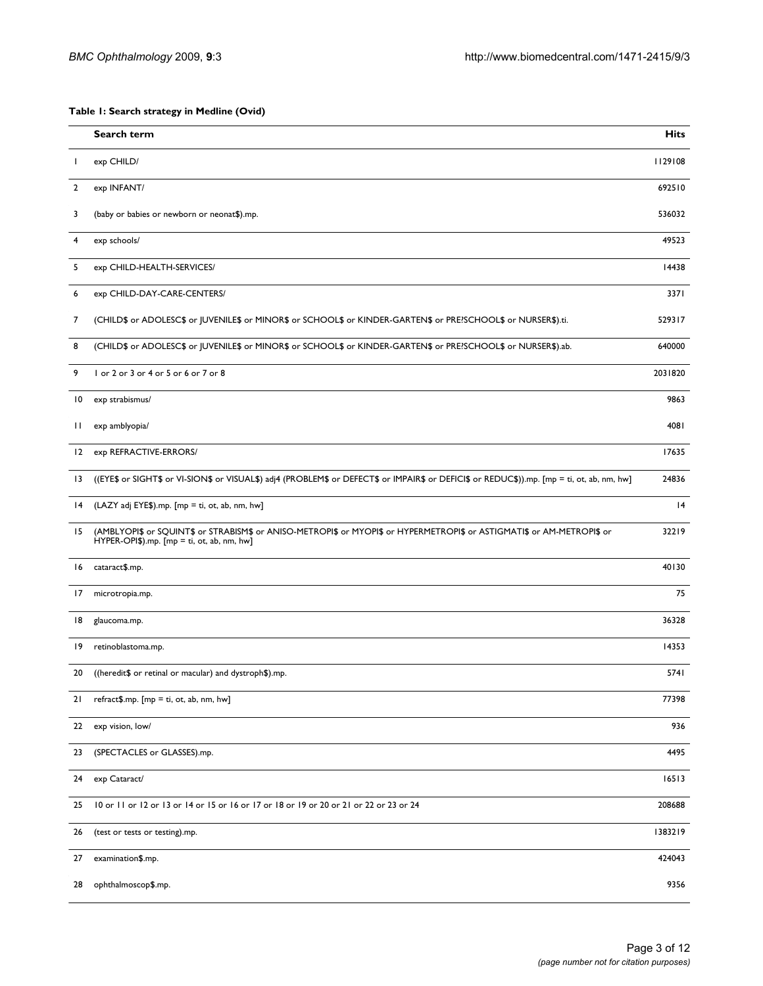<span id="page-2-0"></span>**Table 1: Search strategy in Medline (Ovid)**

|                 | Search term                                                                                                                                                               | <b>Hits</b> |
|-----------------|---------------------------------------------------------------------------------------------------------------------------------------------------------------------------|-------------|
| л.              | exp CHILD/                                                                                                                                                                | 1129108     |
| $\overline{2}$  | exp INFANT/                                                                                                                                                               | 692510      |
| 3               | (baby or babies or newborn or neonat\$).mp.                                                                                                                               | 536032      |
| 4               | exp schools/                                                                                                                                                              | 49523       |
| 5               | exp CHILD-HEALTH-SERVICES/                                                                                                                                                | 14438       |
| 6               | exp CHILD-DAY-CARE-CENTERS/                                                                                                                                               | 3371        |
| 7               | (CHILD\$ or ADOLESC\$ or JUVENILE\$ or MINOR\$ or SCHOOL\$ or KINDER-GARTEN\$ or PRE?SCHOOL\$ or NURSER\$).ti.                                                            | 529317      |
| 8               | (CHILD\$ or ADOLESC\$ or JUVENILE\$ or MINOR\$ or SCHOOL\$ or KINDER-GARTEN\$ or PRE?SCHOOL\$ or NURSER\$).ab.                                                            | 640000      |
| 9               | I or 2 or 3 or 4 or 5 or 6 or 7 or 8                                                                                                                                      | 2031820     |
| $\overline{10}$ | exp strabismus/                                                                                                                                                           | 9863        |
| $\mathbf{H}$    | exp amblyopia/                                                                                                                                                            | 4081        |
| 12              | exp REFRACTIVE-ERRORS/                                                                                                                                                    | 17635       |
| $\overline{13}$ | ((EYE\$ or SIGHT\$ or VI-SION\$ or VISUAL\$) adj4 (PROBLEM\$ or DEFECT\$ or IMPAIR\$ or DEFICI\$ or REDUC\$)).mp. [mp = ti, ot, ab, nm, hw]                               | 24836       |
| 14              | (LAZY adj EYE\$).mp. [mp = ti, ot, ab, nm, hw]                                                                                                                            | 4           |
| 15              | (AMBLYOPI\$ or SQUINT\$ or STRABISM\$ or ANISO-METROPI\$ or MYOPI\$ or HYPERMETROPI\$ or ASTIGMATI\$ or AM-METROPI\$ or<br>$HYPER-OPI$$ ).mp. $[mp = ti, ot, ab, nm, hw]$ | 32219       |
| 16              | cataract\$.mp.                                                                                                                                                            | 40130       |
| 17              | microtropia.mp.                                                                                                                                                           | 75          |
| 18              | glaucoma.mp.                                                                                                                                                              | 36328       |
| 19              | retinoblastoma.mp.                                                                                                                                                        | 14353       |
| 20              | ((heredit\$ or retinal or macular) and dystroph\$).mp.                                                                                                                    | 5741        |
| 21              | $refract$ \$.mp. $[mp = ti, ot, ab, nm, hw]$                                                                                                                              | 77398       |
| 22              | exp vision, low/                                                                                                                                                          | 936         |
| 23              | (SPECTACLES or GLASSES).mp.                                                                                                                                               | 4495        |
| 24              | exp Cataract/                                                                                                                                                             | 16513       |
| 25              | 10 or 11 or 12 or 13 or 14 or 15 or 16 or 17 or 18 or 19 or 20 or 21 or 22 or 23 or 24                                                                                    | 208688      |
| 26              | (test or tests or testing).mp.                                                                                                                                            | 1383219     |
| 27              | examination\$.mp.                                                                                                                                                         | 424043      |
| 28              | ophthalmoscop\$.mp.                                                                                                                                                       | 9356        |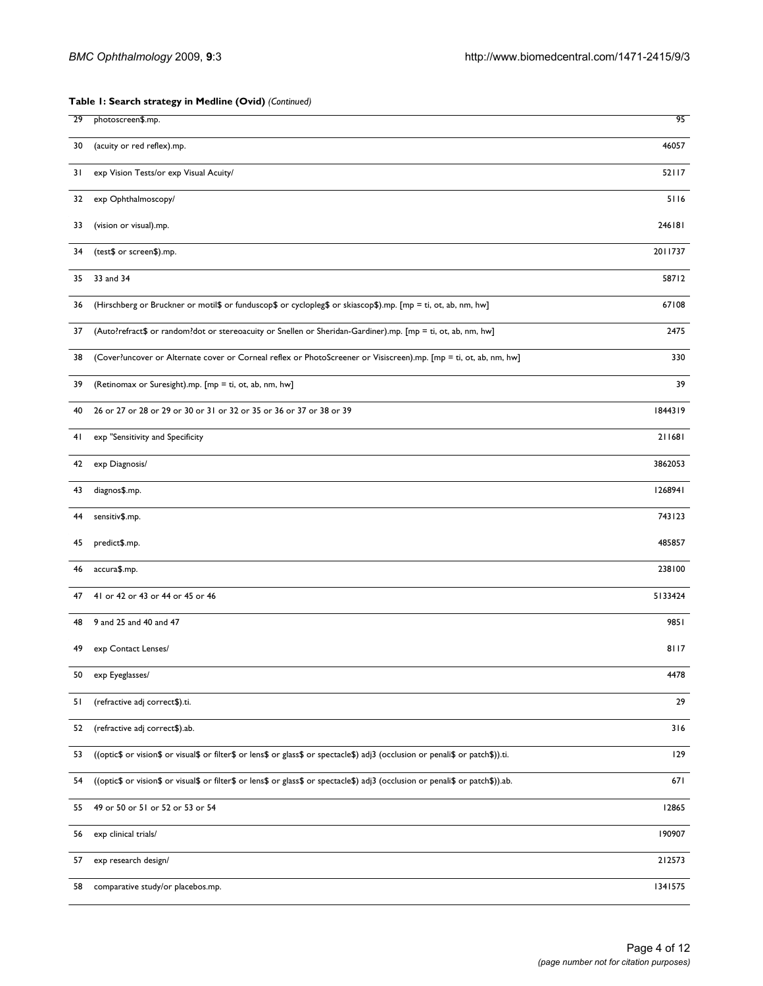# **Table 1: Search strategy in Medline (Ovid)** *(Continued)*

| 29 | photoscreen\$.mp.                                                                                                               | 95      |
|----|---------------------------------------------------------------------------------------------------------------------------------|---------|
| 30 | (acuity or red reflex).mp.                                                                                                      | 46057   |
| 31 | exp Vision Tests/or exp Visual Acuity/                                                                                          | 52117   |
| 32 | exp Ophthalmoscopy/                                                                                                             | 5116    |
| 33 | (vision or visual).mp.                                                                                                          | 246181  |
| 34 | (test\$ or screen\$).mp.                                                                                                        | 2011737 |
| 35 | 33 and 34                                                                                                                       | 58712   |
| 36 | (Hirschberg or Bruckner or motil\$ or funduscop\$ or cyclopleg\$ or skiascop\$).mp. [mp = ti, ot, ab, nm, hw]                   | 67108   |
| 37 | (Auto?refract\$ or random?dot or stereoacuity or Snellen or Sheridan-Gardiner).mp. [mp = ti, ot, ab, nm, hw]                    | 2475    |
| 38 | (Cover?uncover or Alternate cover or Corneal reflex or PhotoScreener or Visiscreen).mp. [mp = ti, ot, ab, nm, hw]               | 330     |
| 39 | (Retinomax or Suresight).mp. [mp = ti, ot, ab, nm, hw]                                                                          | 39      |
| 40 | 26 or 27 or 28 or 29 or 30 or 31 or 32 or 35 or 36 or 37 or 38 or 39                                                            | 1844319 |
| 41 | exp "Sensitivity and Specificity                                                                                                | 211681  |
| 42 | exp Diagnosis/                                                                                                                  | 3862053 |
| 43 | diagnos\$.mp.                                                                                                                   | 1268941 |
| 44 | sensitiv\$.mp.                                                                                                                  | 743123  |
| 45 | predict\$.mp.                                                                                                                   | 485857  |
| 46 | accura\$.mp.                                                                                                                    | 238100  |
| 47 | 41 or 42 or 43 or 44 or 45 or 46                                                                                                | 5133424 |
| 48 | 9 and 25 and 40 and 47                                                                                                          | 9851    |
| 49 | exp Contact Lenses/                                                                                                             | 8117    |
| 50 | exp Eyeglasses/                                                                                                                 | 4478    |
| 51 | (refractive adj correct\$).ti.                                                                                                  | 29      |
| 52 | (refractive adj correct\$).ab.                                                                                                  | 316     |
| 53 | ((optic\$ or vision\$ or visual\$ or filter\$ or lens\$ or glass\$ or spectacle\$) adj3 (occlusion or penali\$ or patch\$)).ti. | 129     |
| 54 | ((optic\$ or vision\$ or visual\$ or filter\$ or lens\$ or glass\$ or spectacle\$) adj3 (occlusion or penali\$ or patch\$)).ab. | 671     |
| 55 | 49 or 50 or 51 or 52 or 53 or 54                                                                                                | 12865   |
| 56 | exp clinical trials/                                                                                                            | 190907  |
| 57 | exp research design/                                                                                                            | 212573  |
| 58 | comparative study/or placebos.mp.                                                                                               | 1341575 |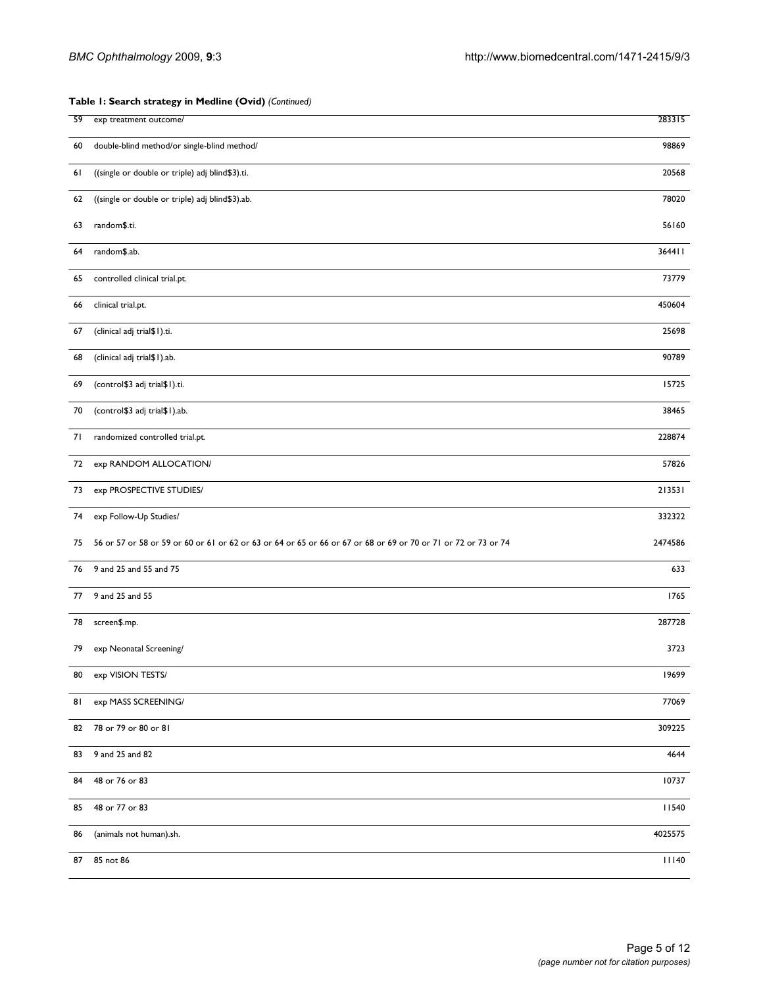# **Table 1: Search strategy in Medline (Ovid)** *(Continued)*

| 59 | exp treatment outcome/                                                                                         | 283315       |
|----|----------------------------------------------------------------------------------------------------------------|--------------|
| 60 | double-blind method/or single-blind method/                                                                    | 98869        |
| 61 | ((single or double or triple) adj blind\$3).ti.                                                                | 20568        |
| 62 | ((single or double or triple) adj blind\$3).ab.                                                                | 78020        |
| 63 | random\$.ti.                                                                                                   | 56160        |
| 64 | random\$.ab.                                                                                                   | 364411       |
| 65 | controlled clinical trial.pt.                                                                                  | 73779        |
| 66 | clinical trial.pt.                                                                                             | 450604       |
| 67 | (clinical adj trial\$1).ti.                                                                                    | 25698        |
| 68 | (clinical adj trial\$1).ab.                                                                                    | 90789        |
| 69 | (control\$3 adj trial\$1).ti.                                                                                  | 15725        |
| 70 | (control\$3 adj trial\$1).ab.                                                                                  | 38465        |
| 71 | randomized controlled trial.pt.                                                                                | 228874       |
| 72 | exp RANDOM ALLOCATION/                                                                                         | 57826        |
| 73 | exp PROSPECTIVE STUDIES/                                                                                       | 213531       |
| 74 | exp Follow-Up Studies/                                                                                         | 332322       |
| 75 | 56 or 57 or 58 or 59 or 60 or 61 or 62 or 63 or 64 or 65 or 66 or 67 or 68 or 69 or 70 or 71 or 72 or 73 or 74 | 2474586      |
| 76 | 9 and 25 and 55 and 75                                                                                         | 633          |
| 77 | 9 and 25 and 55                                                                                                | 1765         |
| 78 | screen\$.mp.                                                                                                   | 287728       |
| 79 | exp Neonatal Screening/                                                                                        | 3723         |
| 80 | exp VISION TESTS/                                                                                              | 19699        |
| 81 | exp MASS SCREENING/                                                                                            | 77069        |
| 82 | 78 or 79 or 80 or 81                                                                                           | 309225       |
| 83 | 9 and 25 and 82                                                                                                | 4644         |
| 84 | 48 or 76 or 83                                                                                                 | 10737        |
| 85 | 48 or 77 or 83                                                                                                 | 11540        |
| 86 | (animals not human).sh.                                                                                        | 4025575      |
| 87 | 85 not 86                                                                                                      | <b>III40</b> |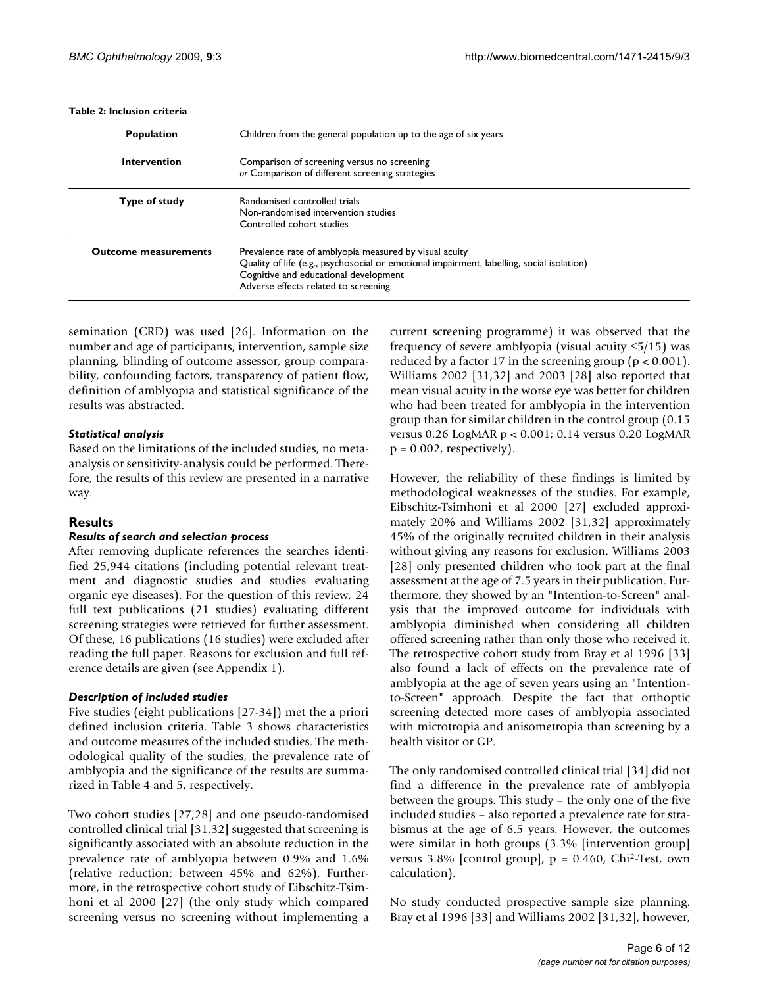| <b>Population</b>           | Children from the general population up to the age of six years                                                                                                                                                                      |  |  |
|-----------------------------|--------------------------------------------------------------------------------------------------------------------------------------------------------------------------------------------------------------------------------------|--|--|
| Intervention                | Comparison of screening versus no screening<br>or Comparison of different screening strategies                                                                                                                                       |  |  |
| Type of study               | Randomised controlled trials<br>Non-randomised intervention studies<br>Controlled cohort studies                                                                                                                                     |  |  |
| <b>Outcome measurements</b> | Prevalence rate of amblyopia measured by visual acuity<br>Quality of life (e.g., psychosocial or emotional impairment, labelling, social isolation)<br>Cognitive and educational development<br>Adverse effects related to screening |  |  |

### <span id="page-5-0"></span>**Table 2: Inclusion criteria**

semination (CRD) was used [[26](#page-11-21)]. Information on the number and age of participants, intervention, sample size planning, blinding of outcome assessor, group comparability, confounding factors, transparency of patient flow, definition of amblyopia and statistical significance of the results was abstracted.

# *Statistical analysis*

Based on the limitations of the included studies, no metaanalysis or sensitivity-analysis could be performed. Therefore, the results of this review are presented in a narrative way.

# **Results**

# *Results of search and selection process*

After removing duplicate references the searches identified 25,944 citations (including potential relevant treatment and diagnostic studies and studies evaluating organic eye diseases). For the question of this review, 24 full text publications (21 studies) evaluating different screening strategies were retrieved for further assessment. Of these, 16 publications (16 studies) were excluded after reading the full paper. Reasons for exclusion and full reference details are given (see Appendix 1).

# *Description of included studies*

Five studies (eight publications [[27-](#page-11-22)[34\]](#page-11-23)) met the a priori defined inclusion criteria. Table [3](#page-6-0) shows characteristics and outcome measures of the included studies. The methodological quality of the studies, the prevalence rate of amblyopia and the significance of the results are summarized in Table [4](#page-7-0) and [5](#page-8-0), respectively.

Two cohort studies [[27,](#page-11-22)[28](#page-11-24)] and one pseudo-randomised controlled clinical trial [\[31](#page-11-25),[32](#page-11-26)] suggested that screening is significantly associated with an absolute reduction in the prevalence rate of amblyopia between 0.9% and 1.6% (relative reduction: between 45% and 62%). Furthermore, in the retrospective cohort study of Eibschitz-Tsimhoni et al 2000 [[27\]](#page-11-22) (the only study which compared screening versus no screening without implementing a

current screening programme) it was observed that the frequency of severe amblyopia (visual acuity  $\leq 5/15$ ) was reduced by a factor 17 in the screening group ( $p < 0.001$ ). Williams 2002 [\[31](#page-11-25),[32\]](#page-11-26) and 2003 [[28\]](#page-11-24) also reported that mean visual acuity in the worse eye was better for children who had been treated for amblyopia in the intervention group than for similar children in the control group (0.15 versus 0.26 LogMAR p < 0.001; 0.14 versus 0.20 LogMAR  $p = 0.002$ , respectively).

However, the reliability of these findings is limited by methodological weaknesses of the studies. For example, Eibschitz-Tsimhoni et al 2000 [\[27](#page-11-22)] excluded approximately 20% and Williams 2002 [\[31](#page-11-25),[32\]](#page-11-26) approximately 45% of the originally recruited children in their analysis without giving any reasons for exclusion. Williams 2003 [[28](#page-11-24)] only presented children who took part at the final assessment at the age of 7.5 years in their publication. Furthermore, they showed by an "Intention-to-Screen" analysis that the improved outcome for individuals with amblyopia diminished when considering all children offered screening rather than only those who received it. The retrospective cohort study from Bray et al 1996 [[33\]](#page-11-27) also found a lack of effects on the prevalence rate of amblyopia at the age of seven years using an "Intentionto-Screen" approach. Despite the fact that orthoptic screening detected more cases of amblyopia associated with microtropia and anisometropia than screening by a health visitor or GP.

The only randomised controlled clinical trial [[34](#page-11-23)] did not find a difference in the prevalence rate of amblyopia between the groups. This study – the only one of the five included studies – also reported a prevalence rate for strabismus at the age of 6.5 years. However, the outcomes were similar in both groups (3.3% [intervention group] versus 3.8% [control group],  $p = 0.460$ , Chi<sup>2</sup>-Test, own calculation).

No study conducted prospective sample size planning. Bray et al 1996 [\[33\]](#page-11-27) and Williams 2002 [\[31](#page-11-25),[32\]](#page-11-26), however,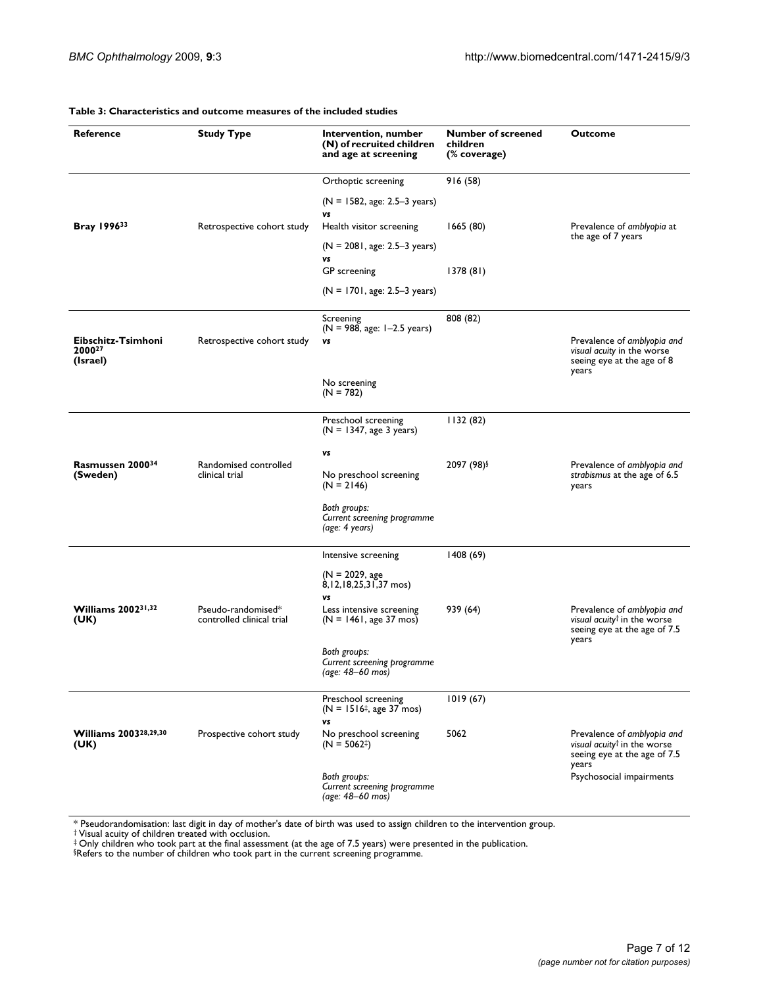| Reference                                 | <b>Study Type</b>                       | Intervention, number<br>(N) of recruited children<br>and age at screening | <b>Number of screened</b><br>children<br>(% coverage) | <b>Outcome</b>                                                                                                  |
|-------------------------------------------|-----------------------------------------|---------------------------------------------------------------------------|-------------------------------------------------------|-----------------------------------------------------------------------------------------------------------------|
|                                           |                                         |                                                                           |                                                       |                                                                                                                 |
|                                           |                                         | Orthoptic screening                                                       | 916 (58)                                              |                                                                                                                 |
|                                           |                                         | $(N = 1582, age: 2.5-3 years)$<br>vs                                      |                                                       |                                                                                                                 |
| Bray 199633                               | Retrospective cohort study              | Health visitor screening                                                  | 1665 (80)                                             | Prevalence of amblyopia at<br>the age of 7 years                                                                |
|                                           |                                         | $(N = 2081, age: 2.5-3 years)$<br>vs                                      |                                                       |                                                                                                                 |
|                                           |                                         | GP screening                                                              | 1378(81)                                              |                                                                                                                 |
|                                           |                                         | $(N = 1701, age: 2.5-3 years)$                                            |                                                       |                                                                                                                 |
|                                           |                                         | Screening<br>$(N = 988, age: 1-2.5 years)$                                | 808 (82)                                              |                                                                                                                 |
| Eibschitz-Tsimhoni<br>200027<br>(Israel)  | Retrospective cohort study              | vs                                                                        |                                                       | Prevalence of amblyopia and<br>visual acuity in the worse<br>seeing eye at the age of 8<br>years                |
|                                           |                                         | No screening<br>$(N = 782)$                                               |                                                       |                                                                                                                 |
|                                           |                                         | Preschool screening<br>$(N = 1347, age 3 years)$                          | 1132(82)                                              |                                                                                                                 |
|                                           |                                         | vs                                                                        |                                                       |                                                                                                                 |
| Rasmussen 200034<br>(Sweden)              | Randomised controlled<br>clinical trial | No preschool screening<br>$(N = 2146)$                                    | 2097 (98)§                                            | Prevalence of amblyopia and<br>strabismus at the age of 6.5<br>years                                            |
|                                           |                                         | Both groups:<br>Current screening programme<br>(age: 4 years)             |                                                       |                                                                                                                 |
|                                           |                                         | Intensive screening                                                       | 1408 (69)                                             |                                                                                                                 |
|                                           |                                         | $(N = 2029, age)$<br>8, 12, 18, 25, 31, 37 mos)                           |                                                       |                                                                                                                 |
| <b>Williams 200231,32</b>                 | Pseudo-randomised*                      | vs<br>Less intensive screening                                            | 939 (64)                                              | Prevalence of amblyopia and                                                                                     |
| (UK)                                      | controlled clinical trial               | $(N = 1461, age 37$ mos)                                                  |                                                       | visual acuity <sup>†</sup> in the worse<br>seeing eye at the age of 7.5<br>years                                |
|                                           |                                         | Both groups:<br>Current screening programme<br>(age: 48-60 mos)           |                                                       |                                                                                                                 |
|                                           |                                         | Preschool screening                                                       | 1019(67)                                              |                                                                                                                 |
|                                           |                                         | $(N = 1516^{\ddagger}, \text{age } 37 \text{ mos})$<br>vs                 |                                                       |                                                                                                                 |
| Williams 2003 <sup>28,29,30</sup><br>(UK) | Prospective cohort study                | No preschool screening<br>$(N = 5062^{\ddagger})$                         | 5062                                                  | Prevalence of amblyopia and<br>visual acuity <sup>†</sup> in the worse<br>seeing eye at the age of 7.5<br>years |
|                                           |                                         | Both groups:<br>Current screening programme<br>(age: 48–60 mos)           |                                                       | Psychosocial impairments                                                                                        |

### <span id="page-6-0"></span>**Table 3: Characteristics and outcome measures of the included studies**

\* Pseudorandomisation: last digit in day of mother's date of birth was used to assign children to the intervention group. † Visual acuity of children treated with occlusion.

‡ Only children who took part at the final assessment (at the age of 7.5 years) were presented in the publication. §Refers to the number of children who took part in the current screening programme.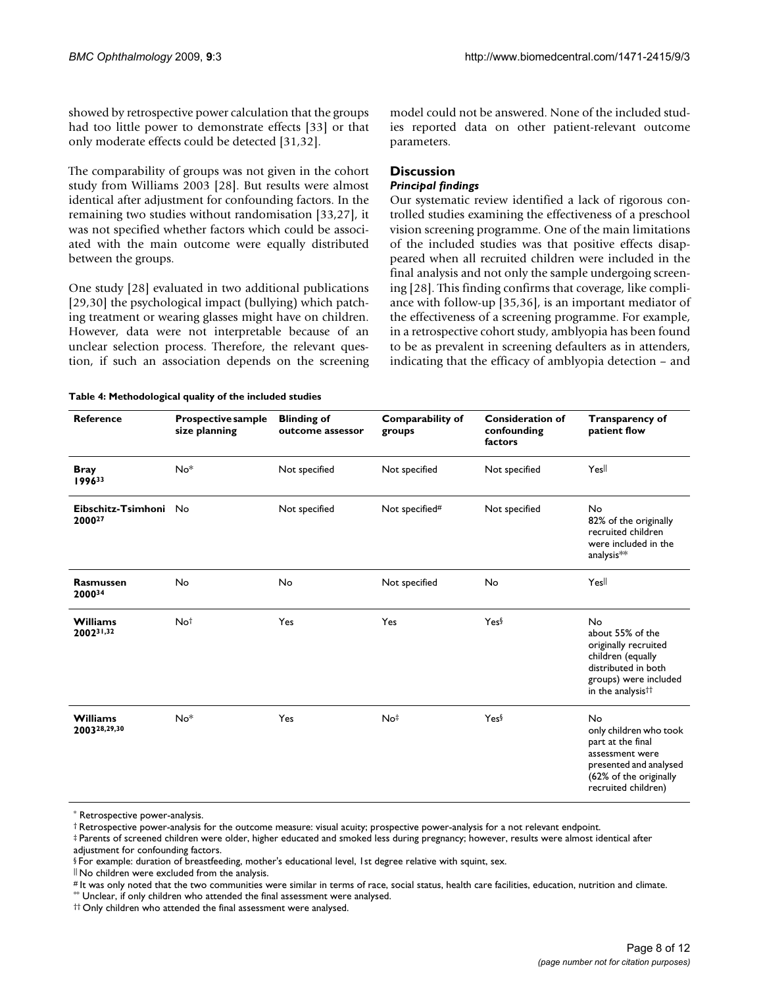showed by retrospective power calculation that the groups had too little power to demonstrate effects [[33](#page-11-27)] or that only moderate effects could be detected [[31,](#page-11-25)[32\]](#page-11-26).

The comparability of groups was not given in the cohort study from Williams 2003 [\[28](#page-11-24)]. But results were almost identical after adjustment for confounding factors. In the remaining two studies without randomisation [\[33](#page-11-27)[,27](#page-11-22)], it was not specified whether factors which could be associated with the main outcome were equally distributed between the groups.

One study [[28](#page-11-24)] evaluated in two additional publications [[29](#page-11-28),[30\]](#page-11-29) the psychological impact (bullying) which patching treatment or wearing glasses might have on children. However, data were not interpretable because of an unclear selection process. Therefore, the relevant question, if such an association depends on the screening model could not be answered. None of the included studies reported data on other patient-relevant outcome parameters.

# **Discussion**

# *Principal findings*

Our systematic review identified a lack of rigorous controlled studies examining the effectiveness of a preschool vision screening programme. One of the main limitations of the included studies was that positive effects disappeared when all recruited children were included in the final analysis and not only the sample undergoing screening [\[28\]](#page-11-24). This finding confirms that coverage, like compliance with follow-up [[35,](#page-11-30)[36](#page-11-31)], is an important mediator of the effectiveness of a screening programme. For example, in a retrospective cohort study, amblyopia has been found to be as prevalent in screening defaulters as in attenders, indicating that the efficacy of amblyopia detection – and

<span id="page-7-0"></span>

| <b>Reference</b>                | <b>Prospective sample</b><br>size planning | <b>Blinding of</b><br>outcome assessor | <b>Comparability of</b><br>groups | <b>Consideration of</b><br>confounding<br>factors | <b>Transparency of</b><br>patient flow                                                                                                               |
|---------------------------------|--------------------------------------------|----------------------------------------|-----------------------------------|---------------------------------------------------|------------------------------------------------------------------------------------------------------------------------------------------------------|
| <b>Bray</b><br>199633           | No <sup>*</sup>                            | Not specified                          | Not specified                     | Not specified                                     | Yesll                                                                                                                                                |
| Eibschitz-Tsimhoni No<br>200027 |                                            | Not specified                          | Not specified#                    | Not specified                                     | No<br>82% of the originally<br>recruited children<br>were included in the<br>analysis**                                                              |
| <b>Rasmussen</b><br>200034      | No                                         | No                                     | Not specified                     | No                                                | Yesll                                                                                                                                                |
| <b>Williams</b><br>200231,32    | Not                                        | Yes                                    | Yes                               | Yes                                               | No<br>about 55% of the<br>originally recruited<br>children (equally<br>distributed in both<br>groups) were included<br>in the analysis <sup>††</sup> |
| <b>Williams</b><br>200328,29,30 | No <sup>*</sup>                            | Yes                                    | No‡                               | Yes                                               | No<br>only children who took<br>part at the final<br>assessment were<br>presented and analysed<br>(62% of the originally<br>recruited children)      |

<sup>\*</sup> Retrospective power-analysis.

‡ Parents of screened children were older, higher educated and smoked less during pregnancy; however, results were almost identical after adjustment for confounding factors.

|| No children were excluded from the analysis.

\*\* Unclear, if only children who attended the final assessment were analysed.

<sup>†</sup> Retrospective power-analysis for the outcome measure: visual acuity; prospective power-analysis for a not relevant endpoint.

<sup>§</sup> For example: duration of breastfeeding, mother's educational level, 1st degree relative with squint, sex.

<sup>#</sup> It was only noted that the two communities were similar in terms of race, social status, health care facilities, education, nutrition and climate.

<sup>††</sup> Only children who attended the final assessment were analysed.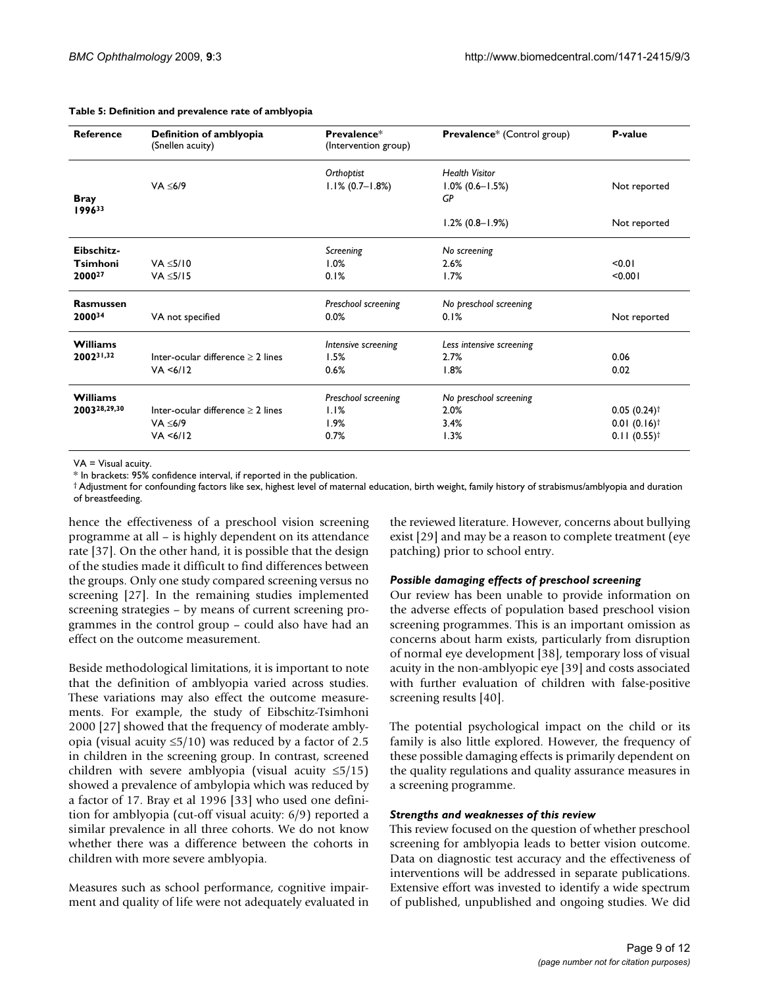| <b>Reference</b>      | Definition of amblyopia<br>(Snellen acuity) | Prevalence*<br>(Intervention group) | Prevalence* (Control group) | P-value                   |
|-----------------------|---------------------------------------------|-------------------------------------|-----------------------------|---------------------------|
|                       |                                             | Orthoptist                          | <b>Health Visitor</b>       |                           |
|                       | VA < 6/9                                    | $1.1\% (0.7 - 1.8\%)$               | $1.0\%$ (0.6-1.5%)          | Not reported              |
| <b>Bray</b><br>199633 |                                             |                                     | GP                          |                           |
|                       |                                             |                                     | $1.2\%$ (0.8-1.9%)          | Not reported              |
| Eibschitz-            |                                             | Screening                           | No screening                |                           |
| <b>Tsimhoni</b>       | VA < 5/10                                   | 1.0%                                | 2.6%                        | < 0.01                    |
| 200027                | VA < 5/15                                   | 0.1%                                | 1.7%                        | < 0.001                   |
| <b>Rasmussen</b>      |                                             | Preschool screening                 | No preschool screening      |                           |
| 200034                | VA not specified                            | 0.0%                                | 0.1%                        | Not reported              |
| <b>Williams</b>       |                                             | Intensive screening                 | Less intensive screening    |                           |
| 200231,32             | Inter-ocular difference $\geq 2$ lines      | 1.5%                                | 2.7%                        | 0.06                      |
|                       | VA < 6/12                                   | 0.6%                                | 1.8%                        | 0.02                      |
| <b>Williams</b>       |                                             | Preschool screening                 | No preschool screening      |                           |
| 200328,29,30          | Inter-ocular difference $\geq 2$ lines      | 1.1%                                | 2.0%                        | $0.05(0.24)^{\dagger}$    |
|                       | VA $\leq 6/9$                               | 1.9%                                | 3.4%                        | $0.01(0.16)^{\dagger}$    |
|                       | VA < 6/12                                   | 0.7%                                | 1.3%                        | $0.11(0.55)$ <sup>†</sup> |

### <span id="page-8-0"></span>**Table 5: Definition and prevalence rate of amblyopia**

VA = Visual acuity.

\* In brackets: 95% confidence interval, if reported in the publication.

† Adjustment for confounding factors like sex, highest level of maternal education, birth weight, family history of strabismus/amblyopia and duration of breastfeeding.

hence the effectiveness of a preschool vision screening programme at all – is highly dependent on its attendance rate [[37](#page-11-32)]. On the other hand, it is possible that the design of the studies made it difficult to find differences between the groups. Only one study compared screening versus no screening [\[27\]](#page-11-22). In the remaining studies implemented screening strategies – by means of current screening programmes in the control group – could also have had an effect on the outcome measurement.

Beside methodological limitations, it is important to note that the definition of amblyopia varied across studies. These variations may also effect the outcome measurements. For example, the study of Eibschitz-Tsimhoni 2000 [[27](#page-11-22)] showed that the frequency of moderate amblyopia (visual acuity  $\leq 5/10$ ) was reduced by a factor of 2.5 in children in the screening group. In contrast, screened children with severe amblyopia (visual acuity  $\leq 5/15$ ) showed a prevalence of ambylopia which was reduced by a factor of 17. Bray et al 1996 [\[33](#page-11-27)] who used one definition for amblyopia (cut-off visual acuity: 6/9) reported a similar prevalence in all three cohorts. We do not know whether there was a difference between the cohorts in children with more severe amblyopia.

Measures such as school performance, cognitive impairment and quality of life were not adequately evaluated in

the reviewed literature. However, concerns about bullying exist [\[29](#page-11-28)] and may be a reason to complete treatment (eye patching) prior to school entry.

# *Possible damaging effects of preschool screening*

Our review has been unable to provide information on the adverse effects of population based preschool vision screening programmes. This is an important omission as concerns about harm exists, particularly from disruption of normal eye development [[38\]](#page-11-33), temporary loss of visual acuity in the non-amblyopic eye [[39\]](#page-11-34) and costs associated with further evaluation of children with false-positive screening results [\[40\]](#page-11-35).

The potential psychological impact on the child or its family is also little explored. However, the frequency of these possible damaging effects is primarily dependent on the quality regulations and quality assurance measures in a screening programme.

# *Strengths and weaknesses of this review*

This review focused on the question of whether preschool screening for amblyopia leads to better vision outcome. Data on diagnostic test accuracy and the effectiveness of interventions will be addressed in separate publications. Extensive effort was invested to identify a wide spectrum of published, unpublished and ongoing studies. We did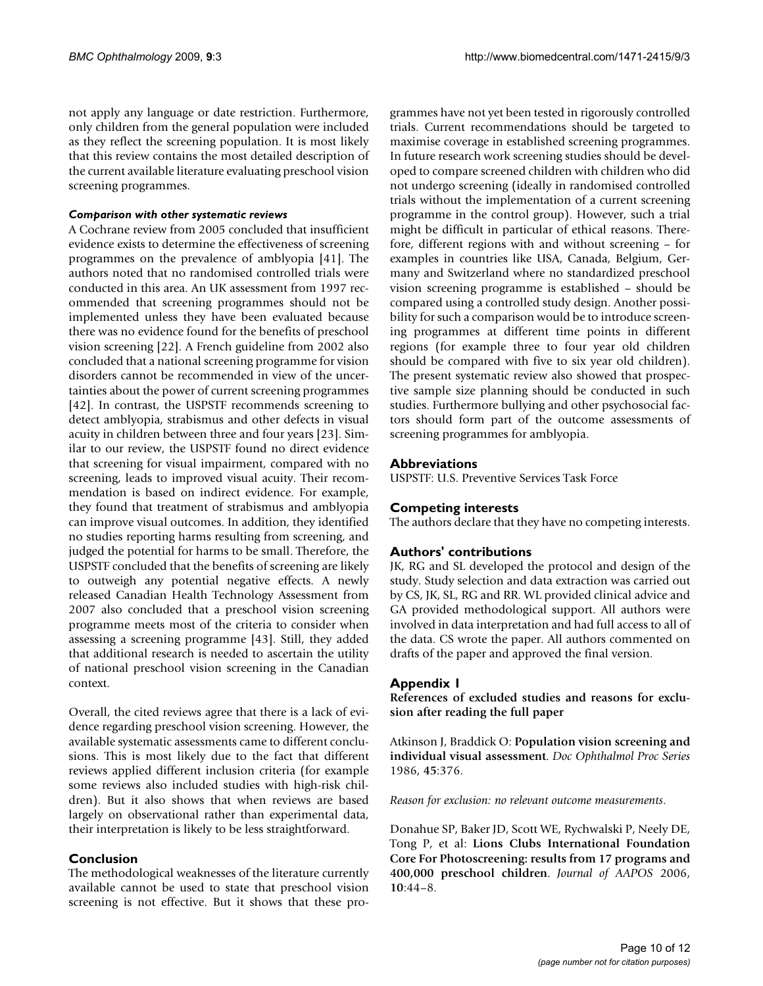not apply any language or date restriction. Furthermore, only children from the general population were included as they reflect the screening population. It is most likely that this review contains the most detailed description of the current available literature evaluating preschool vision screening programmes.

# *Comparison with other systematic reviews*

A Cochrane review from 2005 concluded that insufficient evidence exists to determine the effectiveness of screening programmes on the prevalence of amblyopia [[41](#page-11-36)]. The authors noted that no randomised controlled trials were conducted in this area. An UK assessment from 1997 recommended that screening programmes should not be implemented unless they have been evaluated because there was no evidence found for the benefits of preschool vision screening [\[22](#page-11-17)]. A French guideline from 2002 also concluded that a national screening programme for vision disorders cannot be recommended in view of the uncertainties about the power of current screening programmes [[42](#page-11-37)]. In contrast, the USPSTF recommends screening to detect amblyopia, strabismus and other defects in visual acuity in children between three and four years [\[23](#page-11-18)]. Similar to our review, the USPSTF found no direct evidence that screening for visual impairment, compared with no screening, leads to improved visual acuity. Their recommendation is based on indirect evidence. For example, they found that treatment of strabismus and amblyopia can improve visual outcomes. In addition, they identified no studies reporting harms resulting from screening, and judged the potential for harms to be small. Therefore, the USPSTF concluded that the benefits of screening are likely to outweigh any potential negative effects. A newly released Canadian Health Technology Assessment from 2007 also concluded that a preschool vision screening programme meets most of the criteria to consider when assessing a screening programme [[43\]](#page-11-38). Still, they added that additional research is needed to ascertain the utility of national preschool vision screening in the Canadian context.

Overall, the cited reviews agree that there is a lack of evidence regarding preschool vision screening. However, the available systematic assessments came to different conclusions. This is most likely due to the fact that different reviews applied different inclusion criteria (for example some reviews also included studies with high-risk children). But it also shows that when reviews are based largely on observational rather than experimental data, their interpretation is likely to be less straightforward.

# **Conclusion**

The methodological weaknesses of the literature currently available cannot be used to state that preschool vision screening is not effective. But it shows that these programmes have not yet been tested in rigorously controlled trials. Current recommendations should be targeted to maximise coverage in established screening programmes. In future research work screening studies should be developed to compare screened children with children who did not undergo screening (ideally in randomised controlled trials without the implementation of a current screening programme in the control group). However, such a trial might be difficult in particular of ethical reasons. Therefore, different regions with and without screening – for examples in countries like USA, Canada, Belgium, Germany and Switzerland where no standardized preschool vision screening programme is established – should be compared using a controlled study design. Another possibility for such a comparison would be to introduce screening programmes at different time points in different regions (for example three to four year old children should be compared with five to six year old children). The present systematic review also showed that prospective sample size planning should be conducted in such studies. Furthermore bullying and other psychosocial factors should form part of the outcome assessments of screening programmes for amblyopia.

# **Abbreviations**

USPSTF: U.S. Preventive Services Task Force

# **Competing interests**

The authors declare that they have no competing interests.

# **Authors' contributions**

JK, RG and SL developed the protocol and design of the study. Study selection and data extraction was carried out by CS, JK, SL, RG and RR. WL provided clinical advice and GA provided methodological support. All authors were involved in data interpretation and had full access to all of the data. CS wrote the paper. All authors commented on drafts of the paper and approved the final version.

# **Appendix 1**

**References of excluded studies and reasons for exclusion after reading the full paper**

Atkinson J, Braddick O: **Population vision screening and individual visual assessment**. *Doc Ophthalmol Proc Series* 1986, **45**:376.

*Reason for exclusion: no relevant outcome measurements*.

Donahue SP, Baker JD, Scott WE, Rychwalski P, Neely DE, Tong P, et al: **Lions Clubs International Foundation Core For Photoscreening: results from 17 programs and 400,000 preschool children**. *Journal of AAPOS* 2006, **10**:44–8.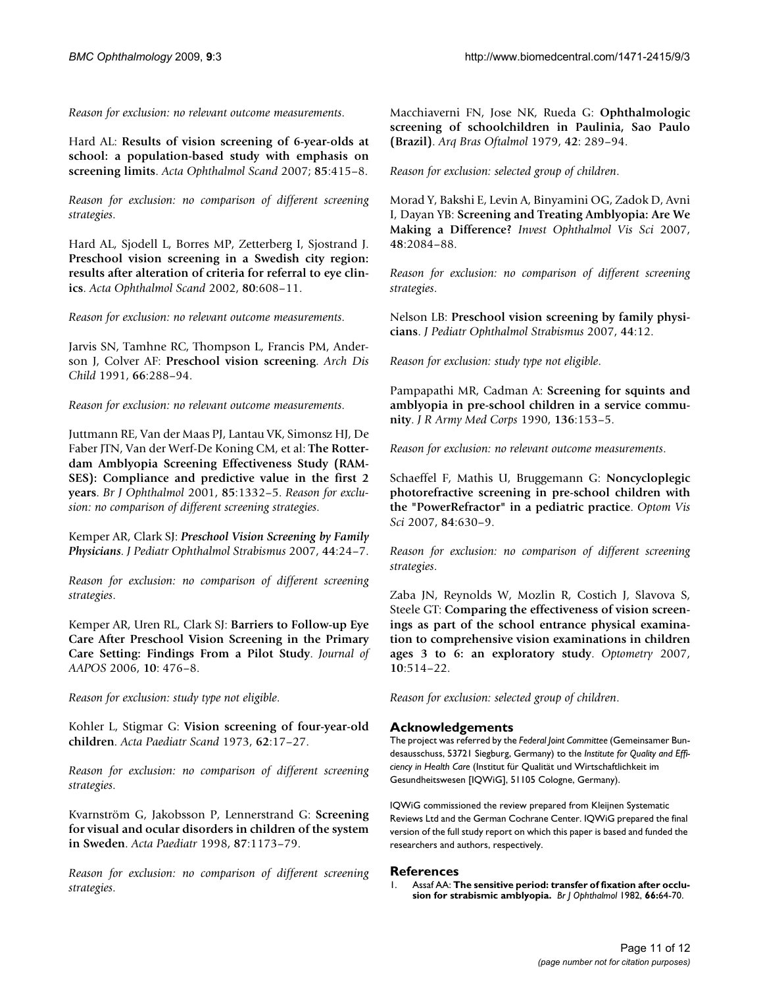*Reason for exclusion: no relevant outcome measurements*.

Hard AL: **Results of vision screening of 6-year-olds at school: a population-based study with emphasis on screening limits**. *Acta Ophthalmol Scand* 2007; **85**:415–8.

*Reason for exclusion: no comparison of different screening strategies*.

Hard AL, Sjodell L, Borres MP, Zetterberg I, Sjostrand J. **Preschool vision screening in a Swedish city region: results after alteration of criteria for referral to eye clinics**. *Acta Ophthalmol Scand* 2002, **80**:608–11.

*Reason for exclusion: no relevant outcome measurements*.

Jarvis SN, Tamhne RC, Thompson L, Francis PM, Anderson J, Colver AF: **Preschool vision screening**. *Arch Dis Child* 1991, **66**:288–94.

*Reason for exclusion: no relevant outcome measurements*.

Juttmann RE, Van der Maas PJ, Lantau VK, Simonsz HJ, De Faber JTN, Van der Werf-De Koning CM, et al: **The Rotterdam Amblyopia Screening Effectiveness Study (RAM-SES): Compliance and predictive value in the first 2 years**. *Br J Ophthalmol* 2001, **85**:1332–5. *Reason for exclusion: no comparison of different screening strategies*.

Kemper AR, Clark SJ: *Preschool Vision Screening by Family Physicians*. *J Pediatr Ophthalmol Strabismus* 2007, **44**:24–7.

*Reason for exclusion: no comparison of different screening strategies*.

Kemper AR, Uren RL, Clark SJ: **Barriers to Follow-up Eye Care After Preschool Vision Screening in the Primary Care Setting: Findings From a Pilot Study**. *Journal of AAPOS* 2006, **10**: 476–8.

*Reason for exclusion: study type not eligible*.

Kohler L, Stigmar G: **Vision screening of four-year-old children**. *Acta Paediatr Scand* 1973, **62**:17–27.

*Reason for exclusion: no comparison of different screening strategies*.

Kvarnström G, Jakobsson P, Lennerstrand G: **Screening for visual and ocular disorders in children of the system in Sweden**. *Acta Paediatr* 1998, **87**:1173–79.

*Reason for exclusion: no comparison of different screening strategies*.

Macchiaverni FN, Jose NK, Rueda G: **Ophthalmologic screening of schoolchildren in Paulinia, Sao Paulo (Brazil)**. *Arq Bras Oftalmol* 1979, **42**: 289–94.

*Reason for exclusion: selected group of children*.

Morad Y, Bakshi E, Levin A, Binyamini OG, Zadok D, Avni I, Dayan YB: **Screening and Treating Amblyopia: Are We Making a Difference?** *Invest Ophthalmol Vis Sci* 2007, **48**:2084–88.

*Reason for exclusion: no comparison of different screening strategies*.

Nelson LB: **Preschool vision screening by family physicians**. *J Pediatr Ophthalmol Strabismus* 2007, **44**:12.

*Reason for exclusion: study type not eligible*.

Pampapathi MR, Cadman A: **Screening for squints and amblyopia in pre-school children in a service community**. *J R Army Med Corps* 1990, **136**:153–5.

*Reason for exclusion: no relevant outcome measurements*.

Schaeffel F, Mathis U, Bruggemann G: **Noncycloplegic photorefractive screening in pre-school children with the "PowerRefractor" in a pediatric practice**. *Optom Vis Sci* 2007, **84**:630–9.

*Reason for exclusion: no comparison of different screening strategies*.

Zaba JN, Reynolds W, Mozlin R, Costich J, Slavova S, Steele GT: **Comparing the effectiveness of vision screenings as part of the school entrance physical examination to comprehensive vision examinations in children ages 3 to 6: an exploratory study**. *Optometry* 2007, **10**:514–22.

*Reason for exclusion: selected group of children*.

# **Acknowledgements**

The project was referred by the *Federal Joint Committee* (Gemeinsamer Bundesausschuss, 53721 Siegburg, Germany) to the *Institute for Quality and Efficiency in Health Care* (Institut für Qualität und Wirtschaftlichkeit im Gesundheitswesen [IQWiG], 51105 Cologne, Germany).

IQWiG commissioned the review prepared from Kleijnen Systematic Reviews Ltd and the German Cochrane Center. IQWiG prepared the final version of the full study report on which this paper is based and funded the researchers and authors, respectively.

# **References**

<span id="page-10-0"></span>1. Assaf AA: **[The sensitive period: transfer of fixation after occlu](http://www.ncbi.nlm.nih.gov/entrez/query.fcgi?cmd=Retrieve&db=PubMed&dopt=Abstract&list_uids=7055546)[sion for strabismic amblyopia.](http://www.ncbi.nlm.nih.gov/entrez/query.fcgi?cmd=Retrieve&db=PubMed&dopt=Abstract&list_uids=7055546)** *Br J Ophthalmol* 1982, **66:**64-70.